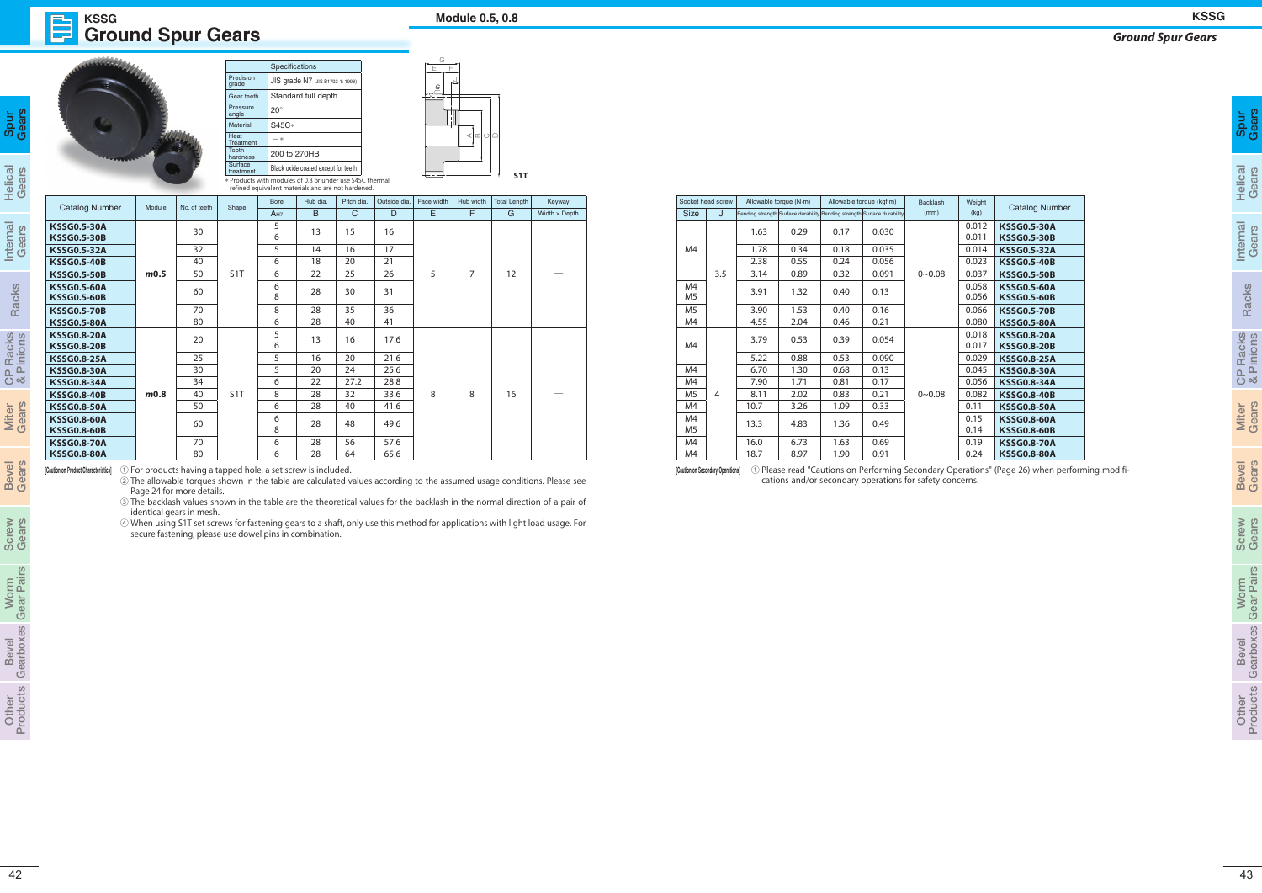## **Ground Spur Gears KSSG Module 0.5, 0.8**

| ears |  |
|------|--|
| ဖွ   |  |

|                                          |                    |              |                                  | Specifications  |                                                          |            |              | G          |           |                  |                      |
|------------------------------------------|--------------------|--------------|----------------------------------|-----------------|----------------------------------------------------------|------------|--------------|------------|-----------|------------------|----------------------|
|                                          | Precision<br>grade |              | JIS grade N7 (JIS B1702-1: 1998) |                 | E<br>E<br>$\mathcal{G}$                                  |            |              |            |           |                  |                      |
|                                          | Gear teeth         |              | Standard full depth              |                 |                                                          |            |              |            |           |                  |                      |
|                                          |                    |              | Pressure<br>angle                | $20^{\circ}$    |                                                          |            |              |            |           |                  |                      |
|                                          |                    |              | Material                         | S45C*           |                                                          |            |              |            |           |                  |                      |
|                                          |                    |              | Heat<br>Treatment                | $- *$           |                                                          |            | ⊲⊡∣ി∆        |            |           |                  |                      |
|                                          |                    |              | <b>Tooth</b><br>hardness         | 200 to 270HB    |                                                          |            |              |            |           |                  |                      |
|                                          |                    |              | Surface<br>treatment             |                 | Black oxide coated except for teeth                      |            |              |            |           |                  |                      |
|                                          |                    |              |                                  |                 | * Products with modules of 0.8 or under use S45C thermal |            |              |            |           | S <sub>1</sub> T |                      |
|                                          |                    |              |                                  |                 | refined equivalent materials and are not hardened.       |            |              |            |           |                  |                      |
| <b>Catalog Number</b>                    | Module             | No. of teeth | Shape                            | <b>Bore</b>     | Hub dia.                                                 | Pitch dia. | Outside dia. | Face width | Hub width | Total Length     | Keyway               |
|                                          |                    |              |                                  | A <sub>H7</sub> | B                                                        | C          | D            | E          | F         | G                | Width $\times$ Depth |
| <b>KSSG0.5-30A</b><br><b>KSSG0.5-30B</b> |                    | 30           |                                  | 5<br>6          | 13                                                       | 15         | 16           |            |           |                  |                      |
| <b>KSSG0.5-32A</b>                       |                    | 32           |                                  | 5               | 14                                                       | 16         | 17           |            |           |                  |                      |
| <b>KSSG0.5-40B</b>                       |                    | 40           |                                  | 6               | 18                                                       | 20         | 21           |            |           |                  |                      |
| <b>KSSG0.5-50B</b>                       | m0.5               | 50           | S <sub>1</sub> T                 | 6               | 22                                                       | 25         | 26           | 5          | 7         | 12               |                      |
| <b>KSSG0.5-60A</b><br><b>KSSG0.5-60B</b> |                    | 60           |                                  | 6<br>8          | 28                                                       | 30         | 31           |            |           |                  |                      |
| <b>KSSG0.5-70B</b>                       |                    | 70           |                                  | 8               | 28                                                       | 35         | 36           |            |           |                  |                      |

| <b>Catalog Number</b><br>Module                                                                                             | No. of teeth             | Shape            | refined equivalent materials and are not hardened.<br>Bore<br>A <sub>H7</sub> | Hub dia.<br>$\overline{B}$ | $\mathsf{C}$ | Pitch dia.   Outside dia.   Face width   Hub width   Total Length  <br>D | E |    | G  | Keyway<br>Width $\times$ Depth                                                                                                                                                                                                                              | Size J                                  | Socket head screw | Allowable torque (N·m)<br>Bending strength Surface durability Bending strength Surface durability |              | Allowable torque (kgf-m) |                | Backlash<br>(mm) | Weight<br>(kg) | <b>Catalog Number</b>                                                                                                |  |  |  |  |  |       |                    |
|-----------------------------------------------------------------------------------------------------------------------------|--------------------------|------------------|-------------------------------------------------------------------------------|----------------------------|--------------|--------------------------------------------------------------------------|---|----|----|-------------------------------------------------------------------------------------------------------------------------------------------------------------------------------------------------------------------------------------------------------------|-----------------------------------------|-------------------|---------------------------------------------------------------------------------------------------|--------------|--------------------------|----------------|------------------|----------------|----------------------------------------------------------------------------------------------------------------------|--|--|--|--|--|-------|--------------------|
| <b>KSSG0.5-30A</b>                                                                                                          | 30                       |                  | 5                                                                             | 13                         | 15           | 16                                                                       |   |    |    |                                                                                                                                                                                                                                                             |                                         |                   | 1.63                                                                                              | 0.29         | 0.17                     | 0.030          |                  | 0.012          | <b>KSSG0.5-30A</b>                                                                                                   |  |  |  |  |  |       |                    |
| <b>KSSG0.5-30B</b>                                                                                                          |                          |                  | 6                                                                             |                            |              |                                                                          |   |    |    |                                                                                                                                                                                                                                                             |                                         |                   |                                                                                                   |              |                          |                |                  | 0.011          | <b>KSSG0.5-30B</b>                                                                                                   |  |  |  |  |  |       |                    |
| <b>KSSG0.5-32A</b>                                                                                                          | 32<br>40                 |                  | $5\overline{)}$<br>6                                                          | 14                         | 16<br>20     | 17<br>21                                                                 |   |    |    |                                                                                                                                                                                                                                                             | M <sub>4</sub>                          |                   | 1.78<br>2.38                                                                                      | 0.34<br>0.55 | 0.18<br>0.24             | 0.035<br>0.056 |                  | 0.014<br>0.023 | <b>KSSG0.5-32A</b>                                                                                                   |  |  |  |  |  |       |                    |
| <b>KSSG0.5-40B</b><br><b>KSSG0.5-50B</b><br>m0.5                                                                            | 50                       | S <sub>1</sub> T | 6                                                                             | 18<br>22                   | 25           | 26                                                                       | 5 | -7 | 12 | $\hspace{0.1mm}-\hspace{0.1mm}$                                                                                                                                                                                                                             |                                         | 3.5               | 3.14                                                                                              | 0.89         | 0.32                     | 0.091          | $0 - 0.08$       | 0.037          | <b>KSSG0.5-40B</b><br><b>KSSG0.5-50B</b>                                                                             |  |  |  |  |  |       |                    |
| <b>KSSG0.5-60A</b>                                                                                                          |                          |                  |                                                                               |                            |              |                                                                          |   |    |    | 6                                                                                                                                                                                                                                                           |                                         |                   |                                                                                                   |              |                          |                |                  | M4             |                                                                                                                      |  |  |  |  |  | 0.058 | <b>KSSG0.5-60A</b> |
| <b>KSSG0.5-60B</b>                                                                                                          | 60                       |                  | 8                                                                             | 28                         | 30           | 31                                                                       |   |    |    |                                                                                                                                                                                                                                                             | M5                                      |                   | 3.91                                                                                              | 1.32         | 0.40                     | 0.13           |                  | 0.056          | <b>KSSG0.5-60B</b>                                                                                                   |  |  |  |  |  |       |                    |
| <b>KSSG0.5-70B</b>                                                                                                          | 70                       |                  | 8                                                                             | 28                         | 35           | 36                                                                       |   |    |    |                                                                                                                                                                                                                                                             | M <sub>5</sub>                          |                   | 3.90                                                                                              | 1.53         | 0.40                     | 0.16           |                  | 0.066          | <b>KSSG0.5-70B</b>                                                                                                   |  |  |  |  |  |       |                    |
| <b>KSSG0.5-80A</b><br><b>KSSG0.8-20A</b>                                                                                    | 80                       |                  | 6<br>$5\phantom{.0}$                                                          | 28                         | 40           | 41                                                                       |   |    |    |                                                                                                                                                                                                                                                             | M4                                      |                   | 4.55                                                                                              | 2.04         | 0.46                     | 0.21           |                  | 0.080<br>0.018 | <b>KSSG0.5-80A</b><br><b>KSSG0.8-20A</b>                                                                             |  |  |  |  |  |       |                    |
| <b>KSSG0.8-20B</b>                                                                                                          | 20                       |                  | 6                                                                             | 13                         | 16           | 17.6                                                                     |   |    |    |                                                                                                                                                                                                                                                             | M4                                      |                   | 3.79                                                                                              | 0.53         | 0.39                     | 0.054          |                  | 0.017          | <b>KSSG0.8-20B</b>                                                                                                   |  |  |  |  |  |       |                    |
| <b>KSSG0.8-25A</b>                                                                                                          | 25                       |                  | 5 <sup>5</sup>                                                                | 16                         | 20           | 21.6                                                                     |   |    |    |                                                                                                                                                                                                                                                             |                                         |                   | 5.22                                                                                              | 0.88         | 0.53                     | 0.090          |                  | 0.029          | <b>KSSG0.8-25A</b>                                                                                                   |  |  |  |  |  |       |                    |
| <b>KSSG0.8-30A</b>                                                                                                          | 30                       |                  | 5 <sup>5</sup>                                                                | 20                         | 24           | 25.6                                                                     |   |    |    |                                                                                                                                                                                                                                                             | M4                                      |                   | 6.70                                                                                              | 1.30         | 0.68                     | 0.13           |                  | 0.045          | <b>KSSG0.8-30A</b>                                                                                                   |  |  |  |  |  |       |                    |
| <b>KSSG0.8-34A</b>                                                                                                          | 34                       |                  | 6                                                                             | 22                         | 27.2         | 28.8                                                                     |   |    |    |                                                                                                                                                                                                                                                             | M4                                      |                   | 7.90                                                                                              | 1.71         | 0.81                     | 0.17           |                  | 0.056          | <b>KSSG0.8-34A</b>                                                                                                   |  |  |  |  |  |       |                    |
| m0.8<br><b>KSSG0.8-40B</b><br><b>KSSG0.8-50A</b>                                                                            | 40<br>50                 | S <sub>1</sub> T | 8<br>6                                                                        | 28<br>28                   | 32<br>40     | 33.6<br>41.6                                                             | 8 | -8 | 16 | $\hspace{0.1mm}-\hspace{0.1mm}$                                                                                                                                                                                                                             | M <sub>5</sub><br>M4                    | $\overline{4}$    | 8.11<br>10.7                                                                                      | 2.02<br>3.26 | 0.83<br>1.09             | 0.21<br>0.33   | $0 - 0.08$       | 0.082<br>0.11  | <b>KSSG0.8-40B</b><br><b>KSSG0.8-50A</b>                                                                             |  |  |  |  |  |       |                    |
| <b>KSSG0.8-60A</b>                                                                                                          |                          |                  | 6                                                                             |                            |              |                                                                          |   |    |    |                                                                                                                                                                                                                                                             | M4                                      |                   |                                                                                                   |              |                          |                |                  | 0.15           | <b>KSSG0.8-60A</b>                                                                                                   |  |  |  |  |  |       |                    |
| <b>KSSG0.8-60B</b>                                                                                                          | 60                       |                  | 8                                                                             | 28                         | 48           | 49.6                                                                     |   |    |    |                                                                                                                                                                                                                                                             | M5                                      |                   | 13.3                                                                                              | 4.83         | 1.36                     | 0.49           |                  | 0.14           | <b>KSSG0.8-60B</b>                                                                                                   |  |  |  |  |  |       |                    |
| <b>KSSG0.8-70A</b>                                                                                                          | 70                       |                  | 6                                                                             | 28                         | 56           | 57.6                                                                     |   |    |    |                                                                                                                                                                                                                                                             | M4                                      |                   | 16.0                                                                                              | 6.73         | 1.63                     | 0.69           |                  | 0.19           | <b>KSSG0.8-70A</b>                                                                                                   |  |  |  |  |  |       |                    |
| <b>KSSG0.8-80A</b><br>1 For products having a tapped hole, a set screw is included.<br>[Caution on Product Characteristics] | 80                       |                  | 6                                                                             | 28                         | 64           | 65.6                                                                     |   |    |    |                                                                                                                                                                                                                                                             | M4<br>[Caution on Secondary Operations] |                   | 18.7                                                                                              | 8.97         | 1.90                     | 0.91           |                  | 0.24           | <b>KSSG0.8-80A</b><br>1) Please read "Cautions on Performing Secondary Operations" (Page 26) when performing modifi- |  |  |  |  |  |       |                    |
|                                                                                                                             | identical gears in mesh. |                  |                                                                               |                            |              |                                                                          |   |    |    | 3) The backlash values shown in the table are the theoretical values for the backlash in the normal direction of a pair of<br>4) When using S1T set screws for fastening gears to a shaft, only use this method for applications with light load usage. For |                                         |                   |                                                                                                   |              |                          |                |                  |                |                                                                                                                      |  |  |  |  |  |       |                    |
|                                                                                                                             |                          |                  | secure fastening, please use dowel pins in combination.                       |                            |              |                                                                          |   |    |    |                                                                                                                                                                                                                                                             |                                         |                   |                                                                                                   |              |                          |                |                  |                |                                                                                                                      |  |  |  |  |  |       |                    |

## *Ground Spur Gears*

| perations" (Page 26) when performing modifi- |  |  |  |  |
|----------------------------------------------|--|--|--|--|
| າcerns.                                      |  |  |  |  |

|                                   | <b>Spur<br/>Gears</b>                         |
|-----------------------------------|-----------------------------------------------|
| Helica                            | Gears                                         |
| iternal                           | Gears                                         |
| Racks                             |                                               |
| <b>Racks</b><br>Pinions<br>—<br>ප |                                               |
| <b>Miter</b><br>Gears             |                                               |
| <b>Bevel</b>                      | Gars                                          |
| crew                              | iears                                         |
| <u>ō</u><br>s                     | כ<br>ī<br>Ì<br>ć<br>ċ                         |
| <b>IBVel</b><br>נ                 | ¢<br>Ó<br>ô<br>d<br>D<br>J<br>I<br>d<br>I     |
| jer<br>Ó<br>$\subset$             | U<br><u>ני</u> ן<br>ł<br>I<br>í<br><b>POL</b> |

## **KSSG**